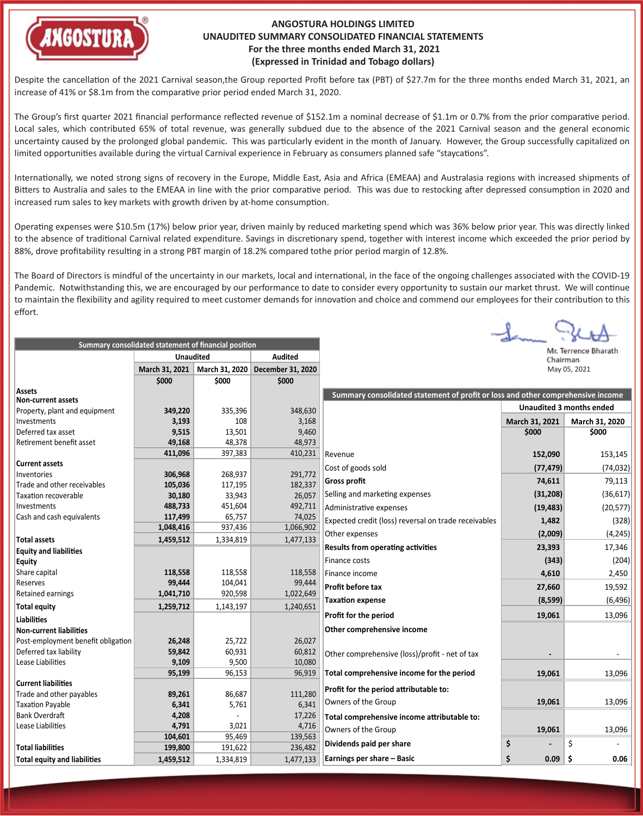

Lease Liabilities **4,791 1 4,791 1 3**,021 **1 4,716** 

**Summary consolidated statement of financial posi�on**

**Total liabili�es 199,800** 191,622 236,482 **Total equity and liabilities 1,459,512** 1,334,819 1,477,133

**104,601** 95,469 139,563

## **ANGOSTURA HOLDINGS LIMITED UNAUDITED SUMMARY CONSOLIDATED FINANCIAL STATEMENTS For the three months ended March 31, 2021 (Expressed in Trinidad and Tobago dollars)**

Despite the cancellation of the 2021 Carnival season,the Group reported Profit before tax (PBT) of \$27.7m for the three months ended March 31, 2021, an increase of 41% or \$8.1m from the comparative prior period ended March 31, 2020.

The Group's first quarter 2021 financial performance reflected revenue of \$152.1m a nominal decrease of \$1.1m or 0.7% from the prior comparative period. Local sales, which contributed 65% of total revenue, was generally subdued due to the absence of the 2021 Carnival season and the general economic uncertainty caused by the prolonged global pandemic. This was par�cularly evident in the month of January. However, the Group successfully capitalized on limited opportunities available during the virtual Carnival experience in February as consumers planned safe "staycations".

Internationally, we noted strong signs of recovery in the Europe, Middle East, Asia and Africa (EMEAA) and Australasia regions with increased shipments of Bitters to Australia and sales to the EMEAA in line with the prior comparative period. This was due to restocking after depressed consumption in 2020 and increased rum sales to key markets with growth driven by at-home consumption.

Operating expenses were \$10.5m (17%) below prior year, driven mainly by reduced marketing spend which was 36% below prior year. This was directly linked to the absence of traditional Carnival related expenditure. Savings in discretionary spend, together with interest income which exceeded the prior period by 88%, drove profitability resulting in a strong PBT margin of 18.2% compared tothe prior period margin of 12.8%.

The Board of Directors is mindful of the uncertainty in our markets, local and international, in the face of the ongoing challenges associated with the COVID-19 Pandemic. Notwithstanding this, we are encouraged by our performance to date to consider every opportunity to sustain our market thrust. We will continue to maintain the flexibility and agility required to meet customer demands for innovation and choice and commend our employees for their contribution to this effort.

|                                    | <b>Unaudited</b> |                | <b>Audited</b>    |                                                                                 | Chairman       | ivii. Terrence briaratri        |
|------------------------------------|------------------|----------------|-------------------|---------------------------------------------------------------------------------|----------------|---------------------------------|
|                                    | March 31, 2021   | March 31, 2020 | December 31, 2020 |                                                                                 |                | May 05, 2021                    |
|                                    | \$000            | \$000          | \$000             |                                                                                 |                |                                 |
| Assets                             |                  |                |                   | Summary consolidated statement of profit or loss and other comprehensive income |                |                                 |
| <b>Non-current assets</b>          |                  |                |                   |                                                                                 |                | <b>Unaudited 3 months ended</b> |
| Property, plant and equipment      | 349,220          | 335,396        | 348,630           |                                                                                 |                |                                 |
| Investments                        | 3,193            | 108            | 3,168             |                                                                                 | March 31, 2021 | March 31, 2020                  |
| Deferred tax asset                 | 9,515            | 13,501         | 9,460             |                                                                                 | \$000          | \$000                           |
| Retirement benefit asset           | 49,168           | 48,378         | 48,973            |                                                                                 |                |                                 |
|                                    | 411,096          | 397,383        | 410,231           | Revenue                                                                         | 152,090        | 153,145                         |
| <b>Current assets</b>              |                  |                |                   | Cost of goods sold                                                              | (77, 479)      | (74, 032)                       |
| Inventories                        | 306,968          | 268,937        | 291,772           | <b>Gross profit</b>                                                             | 74,611         | 79,113                          |
| Trade and other receivables        | 105,036          | 117,195        | 182,337           |                                                                                 |                |                                 |
| <b>Taxation recoverable</b>        | 30,180           | 33,943         | 26,057            | Selling and marketing expenses                                                  | (31, 208)      | (36, 617)                       |
| Investments                        | 488,733          | 451,604        | 492,711           | Administrative expenses                                                         | (19, 483)      | (20, 577)                       |
| Cash and cash equivalents          | 117,499          | 65,757         | 74,025            | Expected credit (loss) reversal on trade receivables                            | 1,482          | (328)                           |
|                                    | 1,048,416        | 937,436        | 1,066,902         | Other expenses                                                                  | (2,009)        | (4, 245)                        |
| <b>Total assets</b>                | 1,459,512        | 1,334,819      | 1,477,133         |                                                                                 |                |                                 |
| <b>Equity and liabilities</b>      |                  |                |                   | <b>Results from operating activities</b>                                        | 23,393         | 17,346                          |
| <b>Equity</b>                      |                  |                |                   | Finance costs                                                                   | (343)          | (204)                           |
| Share capital                      | 118,558          | 118,558        | 118,558           | Finance income                                                                  | 4,610          | 2,450                           |
| Reserves                           | 99,444           | 104,041        | 99,444            | <b>Profit before tax</b>                                                        | 27,660         | 19,592                          |
| Retained earnings                  | 1,041,710        | 920,598        | 1,022,649         |                                                                                 |                |                                 |
| <b>Total equity</b>                | 1,259,712        | 1,143,197      | 1,240,651         | <b>Taxation expense</b>                                                         | (8, 599)       | (6, 496)                        |
| <b>Liabilities</b>                 |                  |                |                   | Profit for the period                                                           | 19,061         | 13,096                          |
| <b>Non-current liabilities</b>     |                  |                |                   | Other comprehensive income                                                      |                |                                 |
| Post-employment benefit obligation | 26,248           | 25,722         | 26,027            |                                                                                 |                |                                 |
| Deferred tax liability             | 59,842           | 60,931         | 60,812            | Other comprehensive (loss)/profit - net of tax                                  |                |                                 |
| Lease Liabilities                  | 9,109            | 9,500          | 10,080            |                                                                                 |                |                                 |
|                                    | 95,199           | 96,153         | 96,919            | Total comprehensive income for the period                                       | 19,061         | 13,096                          |
| <b>Current liabilities</b>         |                  |                |                   |                                                                                 |                |                                 |
| Trade and other payables           | 89,261           | 86,687         | 111,280           | Profit for the period attributable to:                                          |                |                                 |
| <b>Taxation Payable</b>            | 6,341            | 5,761          | 6,341             | Owners of the Group                                                             | 19,061         | 13,096                          |
| Bank Overdraft                     | 4,208            |                |                   | $17,226$ Total comprehensive income attributable to:                            |                |                                 |

**Total comprehensive income a�ributable to:**

Owners of the Group **19,061** 13,096

**Earnings per share – Basic \$ 0.09 \$ 0.06**

**Dividends paid per share \$ -** \$ -